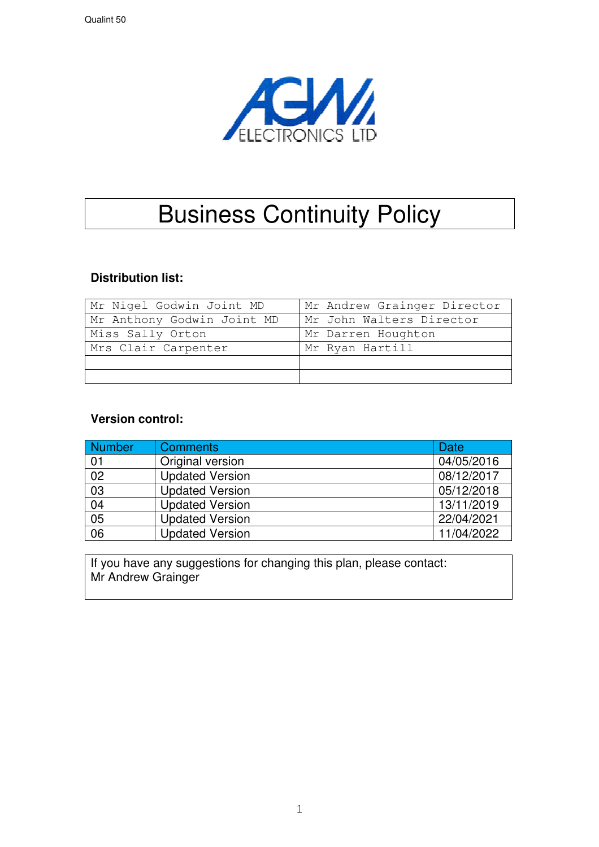

# Business Continuity Policy

### **Distribution list:**

| Mr Nigel Godwin Joint MD   | Mr Andrew Grainger Director |
|----------------------------|-----------------------------|
| Mr Anthony Godwin Joint MD | Mr John Walters Director    |
| Miss Sally Orton           | Mr Darren Houghton          |
| Mrs Clair Carpenter        | Mr Ryan Hartill             |
|                            |                             |
|                            |                             |

#### **Version control:**

| <b>Number</b>   | <b>Comments</b>        | Date       |
|-----------------|------------------------|------------|
| 01              | Original version       | 04/05/2016 |
| $\overline{02}$ | <b>Updated Version</b> | 08/12/2017 |
| $\overline{03}$ | <b>Updated Version</b> | 05/12/2018 |
| $\overline{04}$ | <b>Updated Version</b> | 13/11/2019 |
| 0 <sub>5</sub>  | <b>Updated Version</b> | 22/04/2021 |
| $\overline{06}$ | <b>Updated Version</b> | 11/04/2022 |

If you have any suggestions for changing this plan, please contact: Mr Andrew Grainger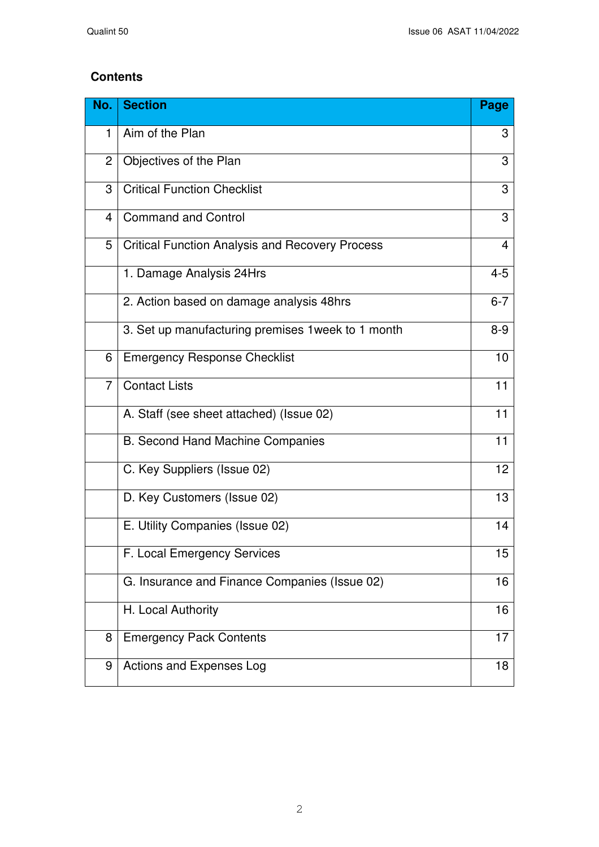### **Contents**

| No.            | <b>Section</b>                                         | Page           |
|----------------|--------------------------------------------------------|----------------|
| 1              | Aim of the Plan                                        | 3              |
| $\overline{2}$ | Objectives of the Plan                                 | 3              |
| 3              | <b>Critical Function Checklist</b>                     | 3              |
| 4              | <b>Command and Control</b>                             | 3              |
| 5              | <b>Critical Function Analysis and Recovery Process</b> | $\overline{4}$ |
|                | 1. Damage Analysis 24Hrs                               | $4 - 5$        |
|                | 2. Action based on damage analysis 48hrs               | $6 - 7$        |
|                | 3. Set up manufacturing premises 1 week to 1 month     | $8-9$          |
| 6              | <b>Emergency Response Checklist</b>                    | 10             |
| $\overline{7}$ | <b>Contact Lists</b>                                   | 11             |
|                | A. Staff (see sheet attached) (Issue 02)               | 11             |
|                | <b>B. Second Hand Machine Companies</b>                | 11             |
|                | C. Key Suppliers (Issue 02)                            | 12             |
|                | D. Key Customers (Issue 02)                            | 13             |
|                | E. Utility Companies (Issue 02)                        | 14             |
|                | F. Local Emergency Services                            | 15             |
|                | G. Insurance and Finance Companies (Issue 02)          | 16             |
|                | H. Local Authority                                     | 16             |
| 8              | <b>Emergency Pack Contents</b>                         | 17             |
| 9              | Actions and Expenses Log                               | 18             |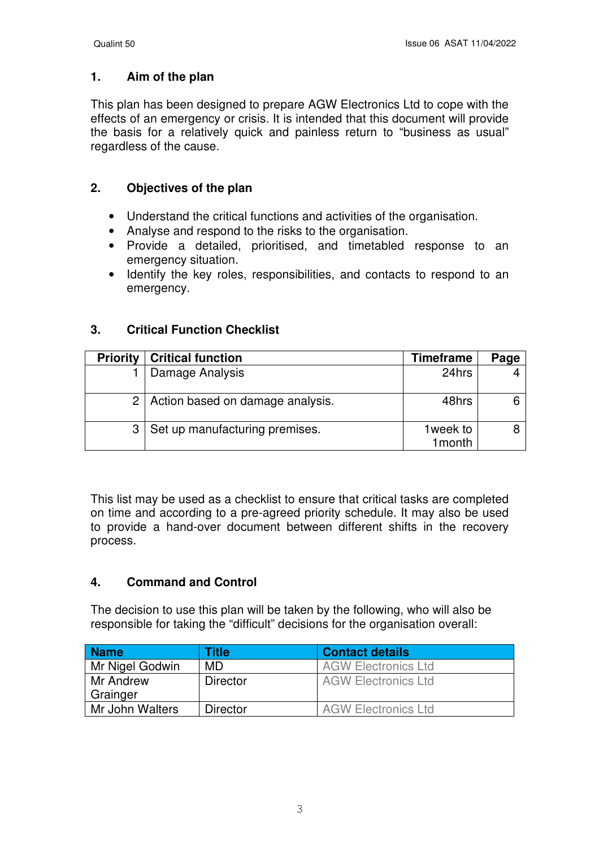#### **1. Aim of the plan**

This plan has been designed to prepare AGW Electronics Ltd to cope with the effects of an emergency or crisis. It is intended that this document will provide the basis for a relatively quick and painless return to "business as usual" regardless of the cause.

### **2. Objectives of the plan**

- Understand the critical functions and activities of the organisation.
- Analyse and respond to the risks to the organisation.
- Provide a detailed, prioritised, and timetabled response to an emergency situation.
- Identify the key roles, responsibilities, and contacts to respond to an emergency.

### **3. Critical Function Checklist**

| <b>Priority</b> | <b>Critical function</b>         | Timeframe           | Page |
|-----------------|----------------------------------|---------------------|------|
|                 | Damage Analysis                  | 24hrs               |      |
| 2               | Action based on damage analysis. | 48hrs               |      |
|                 | Set up manufacturing premises.   | 1week to<br>1 month |      |

This list may be used as a checklist to ensure that critical tasks are completed on time and according to a pre-agreed priority schedule. It may also be used to provide a hand-over document between different shifts in the recovery process.

### **4. Command and Control**

The decision to use this plan will be taken by the following, who will also be responsible for taking the "difficult" decisions for the organisation overall:

| <b>Name</b>     | Title           | <b>Contact details</b>     |
|-----------------|-----------------|----------------------------|
| Mr Nigel Godwin | <b>MD</b>       | <b>AGW Electronics Ltd</b> |
| Mr Andrew       | <b>Director</b> | <b>AGW Electronics Ltd</b> |
| Grainger        |                 |                            |
| Mr John Walters | <b>Director</b> | <b>AGW Electronics Ltd</b> |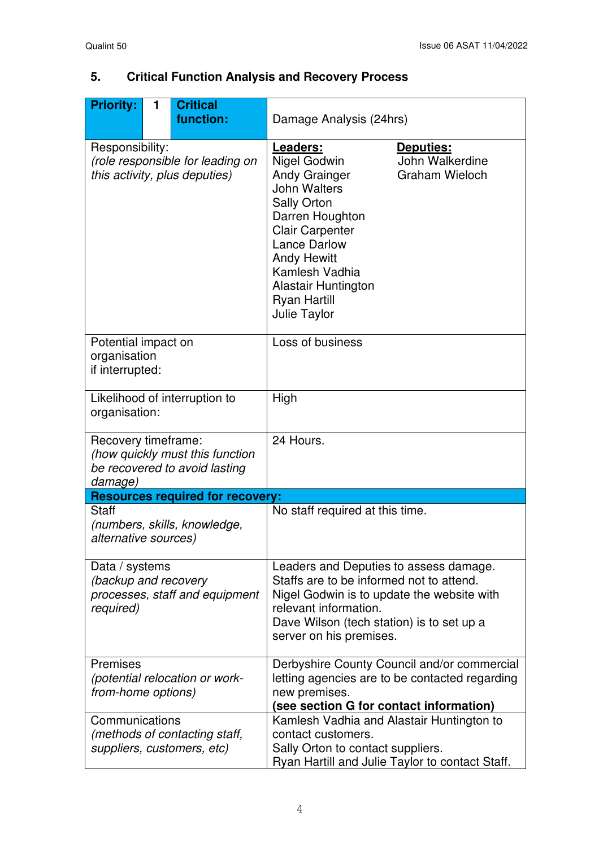| <b>Priority:</b>                                                                                   | 1 | <b>Critical</b><br>function:                                      | Damage Analysis (24hrs)                                                                                                                                                                                                                                                                                                                 |  |  |
|----------------------------------------------------------------------------------------------------|---|-------------------------------------------------------------------|-----------------------------------------------------------------------------------------------------------------------------------------------------------------------------------------------------------------------------------------------------------------------------------------------------------------------------------------|--|--|
| Responsibility:                                                                                    |   | (role responsible for leading on<br>this activity, plus deputies) | Leaders:<br>Deputies:<br>John Walkerdine<br>Nigel Godwin<br><b>Andy Grainger</b><br><b>Graham Wieloch</b><br><b>John Walters</b><br><b>Sally Orton</b><br>Darren Houghton<br><b>Clair Carpenter</b><br><b>Lance Darlow</b><br><b>Andy Hewitt</b><br>Kamlesh Vadhia<br><b>Alastair Huntington</b><br><b>Ryan Hartill</b><br>Julie Taylor |  |  |
| Potential impact on<br>organisation<br>if interrupted:                                             |   |                                                                   | Loss of business                                                                                                                                                                                                                                                                                                                        |  |  |
| Likelihood of interruption to<br>organisation:                                                     |   |                                                                   | High                                                                                                                                                                                                                                                                                                                                    |  |  |
| Recovery timeframe:<br>(how quickly must this function<br>be recovered to avoid lasting<br>damage) |   |                                                                   | 24 Hours.                                                                                                                                                                                                                                                                                                                               |  |  |
|                                                                                                    |   | <b>Resources required for recovery:</b>                           |                                                                                                                                                                                                                                                                                                                                         |  |  |
| <b>Staff</b><br>(numbers, skills, knowledge,<br>alternative sources)                               |   |                                                                   | No staff required at this time.                                                                                                                                                                                                                                                                                                         |  |  |
| Data / systems<br>(backup and recovery<br>required)                                                |   | processes, staff and equipment                                    | Leaders and Deputies to assess damage.<br>Staffs are to be informed not to attend.<br>Nigel Godwin is to update the website with<br>relevant information.<br>Dave Wilson (tech station) is to set up a<br>server on his premises.                                                                                                       |  |  |
| Premises<br><i>from-home options)</i>                                                              |   | (potential relocation or work-                                    | Derbyshire County Council and/or commercial<br>letting agencies are to be contacted regarding<br>new premises.<br>(see section G for contact information)                                                                                                                                                                               |  |  |
| Communications                                                                                     |   | (methods of contacting staff,<br>suppliers, customers, etc)       | Kamlesh Vadhia and Alastair Huntington to<br>contact customers.<br>Sally Orton to contact suppliers.<br>Ryan Hartill and Julie Taylor to contact Staff.                                                                                                                                                                                 |  |  |

# **5. Critical Function Analysis and Recovery Process**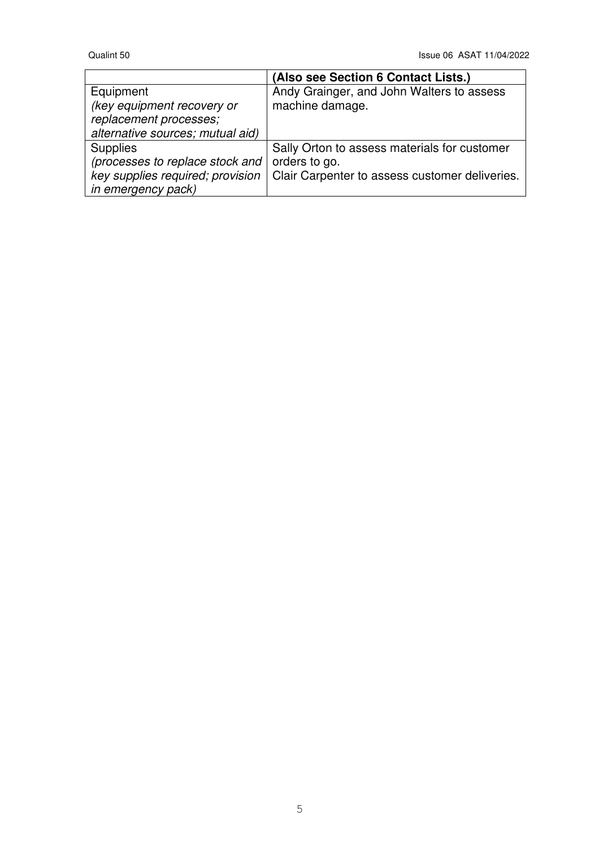|                                  | (Also see Section 6 Contact Lists.)            |
|----------------------------------|------------------------------------------------|
| Equipment                        | Andy Grainger, and John Walters to assess      |
| (key equipment recovery or       | machine damage.                                |
| replacement processes;           |                                                |
| alternative sources; mutual aid) |                                                |
| <b>Supplies</b>                  | Sally Orton to assess materials for customer   |
| (processes to replace stock and  | orders to go.                                  |
| key supplies required; provision | Clair Carpenter to assess customer deliveries. |
| in emergency pack)               |                                                |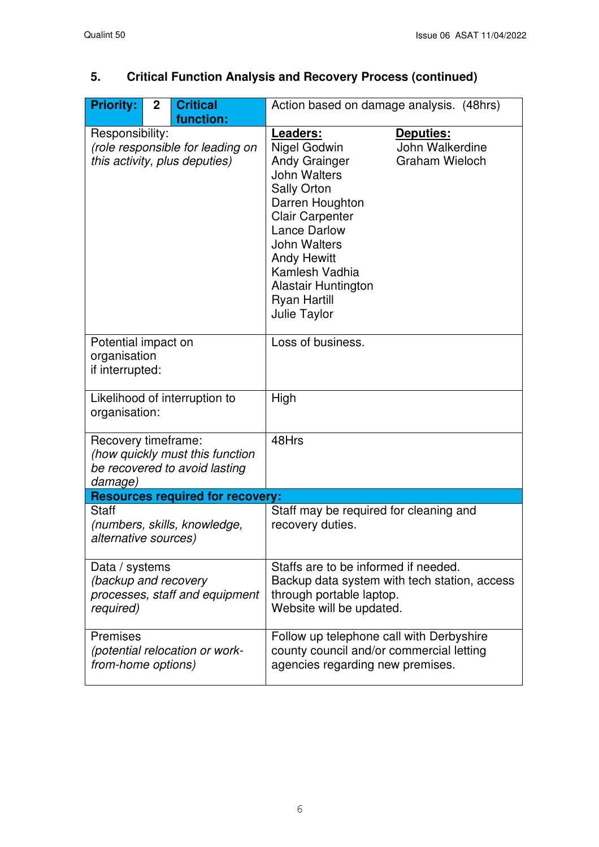| <b>Priority:</b>                                       | $\mathbf{2}$ | <b>Critical</b><br>function:                                      | Action based on damage analysis. (48hrs)                                                                                                                                                                                                                                                                                                                |                                              |
|--------------------------------------------------------|--------------|-------------------------------------------------------------------|---------------------------------------------------------------------------------------------------------------------------------------------------------------------------------------------------------------------------------------------------------------------------------------------------------------------------------------------------------|----------------------------------------------|
| Responsibility:                                        |              | (role responsible for leading on<br>this activity, plus deputies) | Leaders:<br>Deputies:<br>Nigel Godwin<br>John Walkerdine<br><b>Andy Grainger</b><br><b>Graham Wieloch</b><br><b>John Walters</b><br><b>Sally Orton</b><br>Darren Houghton<br><b>Clair Carpenter</b><br><b>Lance Darlow</b><br><b>John Walters</b><br><b>Andy Hewitt</b><br>Kamlesh Vadhia<br>Alastair Huntington<br><b>Ryan Hartill</b><br>Julie Taylor |                                              |
| Potential impact on<br>organisation<br>if interrupted: |              |                                                                   | Loss of business.                                                                                                                                                                                                                                                                                                                                       |                                              |
| organisation:                                          |              | Likelihood of interruption to                                     | High                                                                                                                                                                                                                                                                                                                                                    |                                              |
| Recovery timeframe:<br>damage)                         |              | (how quickly must this function<br>be recovered to avoid lasting  | 48Hrs                                                                                                                                                                                                                                                                                                                                                   |                                              |
|                                                        |              | <b>Resources required for recovery:</b>                           |                                                                                                                                                                                                                                                                                                                                                         |                                              |
| <b>Staff</b><br>alternative sources)                   |              | (numbers, skills, knowledge,                                      | Staff may be required for cleaning and<br>recovery duties.                                                                                                                                                                                                                                                                                              |                                              |
| Data / systems<br>(backup and recovery<br>required)    |              | processes, staff and equipment                                    | Staffs are to be informed if needed.<br>through portable laptop.<br>Website will be updated.                                                                                                                                                                                                                                                            | Backup data system with tech station, access |
| <b>Premises</b><br>from-home options)                  |              | (potential relocation or work-                                    | Follow up telephone call with Derbyshire<br>county council and/or commercial letting<br>agencies regarding new premises.                                                                                                                                                                                                                                |                                              |

# **5. Critical Function Analysis and Recovery Process (continued)**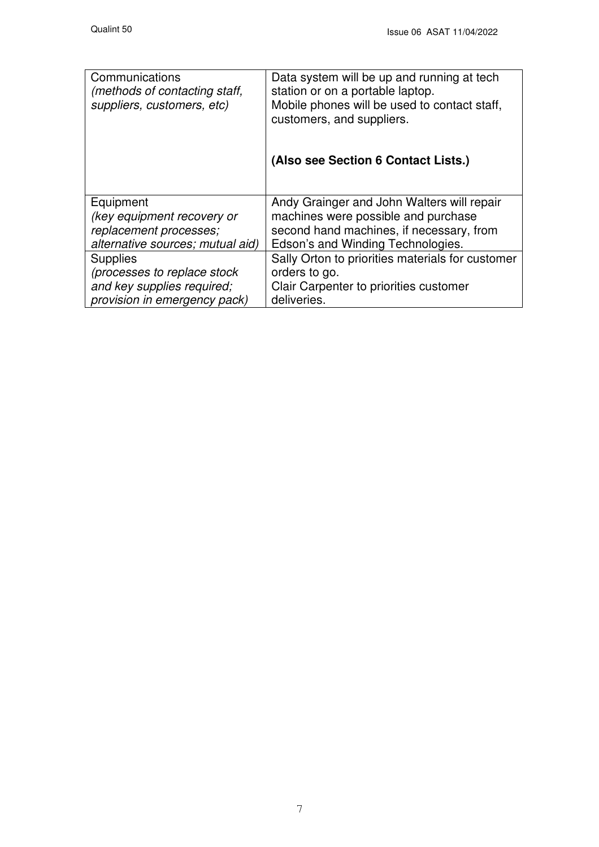| Communications<br>(methods of contacting staff,<br>suppliers, customers, etc) | Data system will be up and running at tech<br>station or on a portable laptop.<br>Mobile phones will be used to contact staff,<br>customers, and suppliers. |
|-------------------------------------------------------------------------------|-------------------------------------------------------------------------------------------------------------------------------------------------------------|
|                                                                               | (Also see Section 6 Contact Lists.)                                                                                                                         |
| Equipment                                                                     | Andy Grainger and John Walters will repair                                                                                                                  |
| (key equipment recovery or                                                    | machines were possible and purchase                                                                                                                         |
| replacement processes;                                                        | second hand machines, if necessary, from                                                                                                                    |
| alternative sources; mutual aid)                                              | Edson's and Winding Technologies.                                                                                                                           |
| <b>Supplies</b>                                                               | Sally Orton to priorities materials for customer                                                                                                            |
| (processes to replace stock                                                   | orders to go.                                                                                                                                               |
| and key supplies required;                                                    | Clair Carpenter to priorities customer                                                                                                                      |
| provision in emergency pack)                                                  | deliveries.                                                                                                                                                 |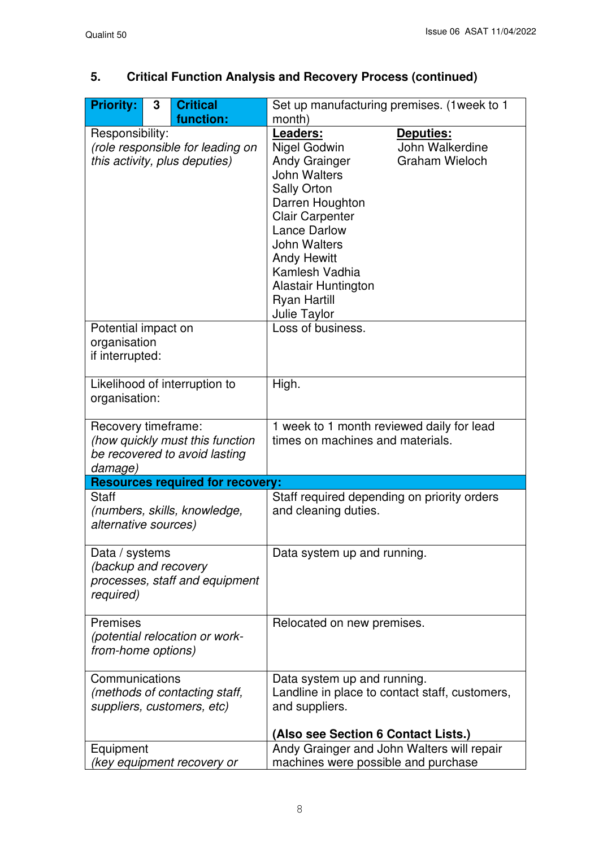# **5. Critical Function Analysis and Recovery Process (continued)**

| <b>Priority:</b>                                                                      | 3                                                                             | <b>Critical</b>                                                  | Set up manufacturing premises. (1 week to 1                                                                                                                                                                                                                                                                                                                    |  |
|---------------------------------------------------------------------------------------|-------------------------------------------------------------------------------|------------------------------------------------------------------|----------------------------------------------------------------------------------------------------------------------------------------------------------------------------------------------------------------------------------------------------------------------------------------------------------------------------------------------------------------|--|
|                                                                                       |                                                                               | function:                                                        | month)                                                                                                                                                                                                                                                                                                                                                         |  |
| Responsibility:<br>(role responsible for leading on<br>this activity, plus deputies)  |                                                                               |                                                                  | Leaders:<br>Deputies:<br>John Walkerdine<br>Nigel Godwin<br><b>Andy Grainger</b><br><b>Graham Wieloch</b><br><b>John Walters</b><br><b>Sally Orton</b><br>Darren Houghton<br><b>Clair Carpenter</b><br><b>Lance Darlow</b><br><b>John Walters</b><br><b>Andy Hewitt</b><br>Kamlesh Vadhia<br><b>Alastair Huntington</b><br><b>Ryan Hartill</b><br>Julie Taylor |  |
| Potential impact on<br>organisation<br>if interrupted:                                |                                                                               |                                                                  | Loss of business.                                                                                                                                                                                                                                                                                                                                              |  |
| organisation:                                                                         |                                                                               | Likelihood of interruption to                                    | High.                                                                                                                                                                                                                                                                                                                                                          |  |
| Recovery timeframe:<br>damage)                                                        |                                                                               | (how quickly must this function<br>be recovered to avoid lasting | 1 week to 1 month reviewed daily for lead<br>times on machines and materials.                                                                                                                                                                                                                                                                                  |  |
|                                                                                       |                                                                               | <b>Resources required for recovery:</b>                          |                                                                                                                                                                                                                                                                                                                                                                |  |
| <b>Staff</b><br>alternative sources)                                                  |                                                                               | (numbers, skills, knowledge,                                     | Staff required depending on priority orders<br>and cleaning duties.                                                                                                                                                                                                                                                                                            |  |
| Data / systems<br>(backup and recovery<br>processes, staff and equipment<br>required) |                                                                               |                                                                  | Data system up and running.                                                                                                                                                                                                                                                                                                                                    |  |
| <b>Premises</b>                                                                       | (potential relocation or work-<br>from-home options)                          |                                                                  | Relocated on new premises.                                                                                                                                                                                                                                                                                                                                     |  |
|                                                                                       | Communications<br>(methods of contacting staff,<br>suppliers, customers, etc) |                                                                  | Data system up and running.<br>Landline in place to contact staff, customers,<br>and suppliers.<br>(Also see Section 6 Contact Lists.)                                                                                                                                                                                                                         |  |
| Equipment                                                                             |                                                                               |                                                                  | Andy Grainger and John Walters will repair                                                                                                                                                                                                                                                                                                                     |  |
| key equipment recovery or                                                             |                                                                               |                                                                  | machines were possible and purchase                                                                                                                                                                                                                                                                                                                            |  |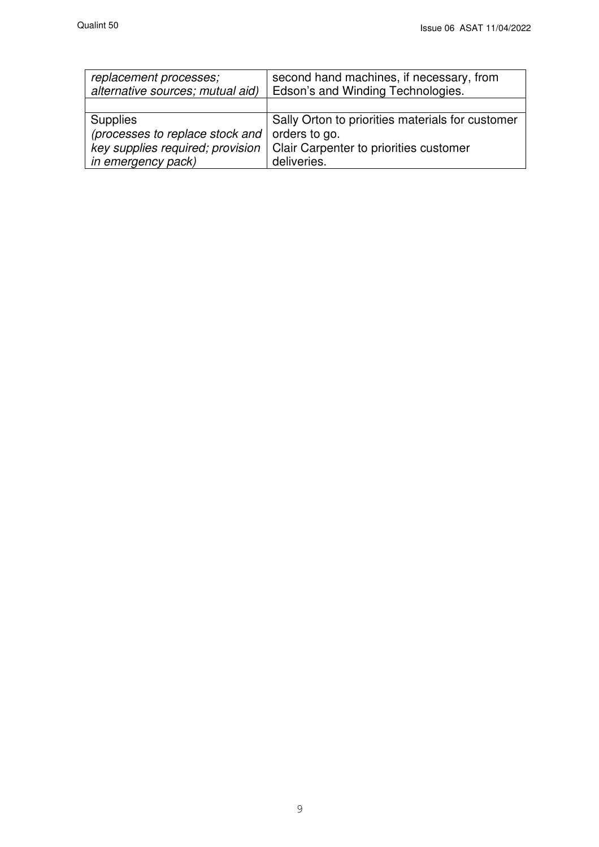| replacement processes;<br>alternative sources; mutual aid) | second hand machines, if necessary, from<br>Edson's and Winding Technologies. |  |
|------------------------------------------------------------|-------------------------------------------------------------------------------|--|
|                                                            |                                                                               |  |
| <b>Supplies</b>                                            | Sally Orton to priorities materials for customer                              |  |
| (processes to replace stock and                            | orders to go.                                                                 |  |
| key supplies required; provision                           | Clair Carpenter to priorities customer                                        |  |
| in emergency pack)                                         | deliveries.                                                                   |  |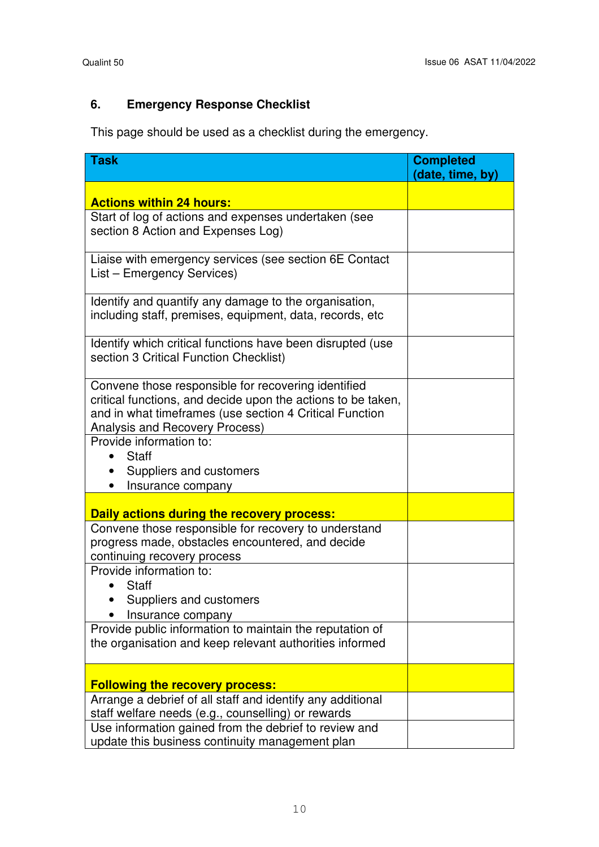### **6. Emergency Response Checklist**

This page should be used as a checklist during the emergency.

| <b>Task</b>                                                                                                                                                                                                      | <b>Completed</b><br>(date, time, by) |
|------------------------------------------------------------------------------------------------------------------------------------------------------------------------------------------------------------------|--------------------------------------|
|                                                                                                                                                                                                                  |                                      |
| <b>Actions within 24 hours:</b><br>Start of log of actions and expenses undertaken (see                                                                                                                          |                                      |
| section 8 Action and Expenses Log)                                                                                                                                                                               |                                      |
| Liaise with emergency services (see section 6E Contact<br>List - Emergency Services)                                                                                                                             |                                      |
| Identify and quantify any damage to the organisation,<br>including staff, premises, equipment, data, records, etc                                                                                                |                                      |
| Identify which critical functions have been disrupted (use<br>section 3 Critical Function Checklist)                                                                                                             |                                      |
| Convene those responsible for recovering identified<br>critical functions, and decide upon the actions to be taken,<br>and in what timeframes (use section 4 Critical Function<br>Analysis and Recovery Process) |                                      |
| Provide information to:<br><b>Staff</b>                                                                                                                                                                          |                                      |
| Suppliers and customers                                                                                                                                                                                          |                                      |
| Insurance company                                                                                                                                                                                                |                                      |
| Daily actions during the recovery process:                                                                                                                                                                       |                                      |
| Convene those responsible for recovery to understand<br>progress made, obstacles encountered, and decide<br>continuing recovery process                                                                          |                                      |
| Provide information to:                                                                                                                                                                                          |                                      |
| <b>Staff</b>                                                                                                                                                                                                     |                                      |
| Suppliers and customers<br>Insurance company                                                                                                                                                                     |                                      |
| Provide public information to maintain the reputation of                                                                                                                                                         |                                      |
| the organisation and keep relevant authorities informed                                                                                                                                                          |                                      |
| <b>Following the recovery process:</b>                                                                                                                                                                           |                                      |
| Arrange a debrief of all staff and identify any additional                                                                                                                                                       |                                      |
| staff welfare needs (e.g., counselling) or rewards                                                                                                                                                               |                                      |
| Use information gained from the debrief to review and                                                                                                                                                            |                                      |
| update this business continuity management plan                                                                                                                                                                  |                                      |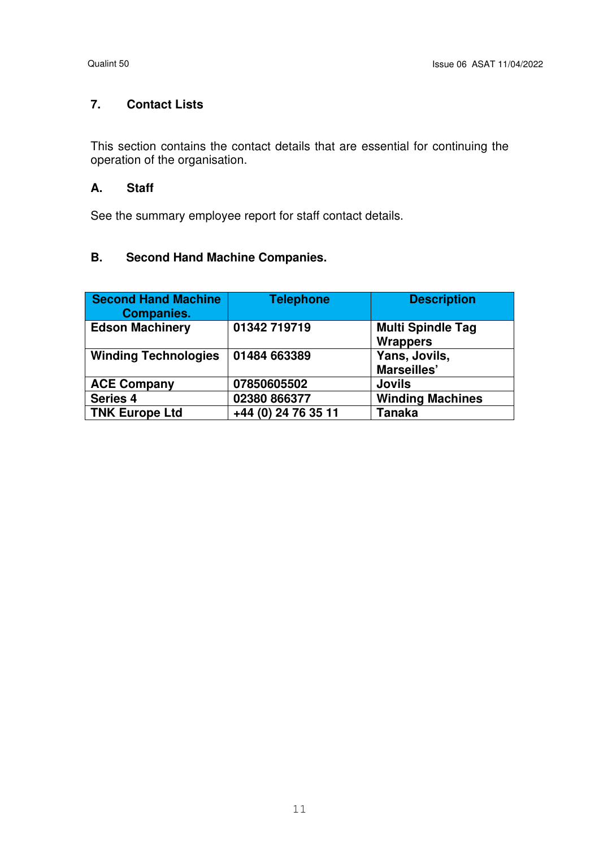### **7. Contact Lists**

This section contains the contact details that are essential for continuing the operation of the organisation.

#### **A. Staff**

See the summary employee report for staff contact details.

### **B. Second Hand Machine Companies.**

| <b>Second Hand Machine</b><br><b>Companies.</b> | <b>Telephone</b>    | <b>Description</b>                          |
|-------------------------------------------------|---------------------|---------------------------------------------|
| <b>Edson Machinery</b>                          | 01342 719719        | <b>Multi Spindle Tag</b><br><b>Wrappers</b> |
| <b>Winding Technologies</b>                     | 01484 663389        | Yans, Jovils,<br>Marseilles'                |
| <b>ACE Company</b>                              | 07850605502         | <b>Jovils</b>                               |
| <b>Series 4</b>                                 | 02380 866377        | <b>Winding Machines</b>                     |
| <b>TNK Europe Ltd</b>                           | +44 (0) 24 76 35 11 | Tanaka                                      |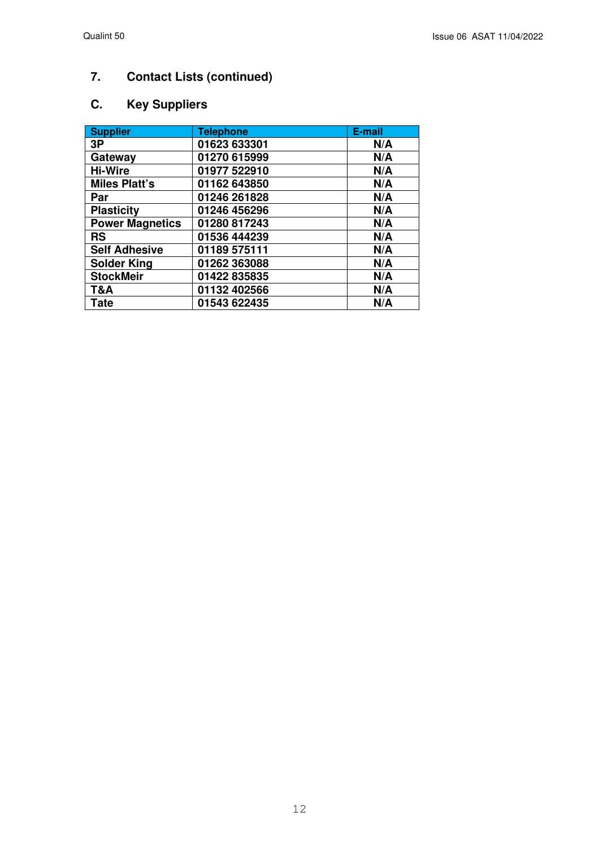# **7. Contact Lists (continued)**

### **C. Key Suppliers**

| <b>Supplier</b>        | <b>Telephone</b> | E-mail |
|------------------------|------------------|--------|
| 3P                     | 01623 633301     | N/A    |
| Gateway                | 01270 615999     | N/A    |
| <b>Hi-Wire</b>         | 01977 522910     | N/A    |
| <b>Miles Platt's</b>   | 01162 643850     | N/A    |
| Par                    | 01246 261828     | N/A    |
| <b>Plasticity</b>      | 01246 456296     | N/A    |
| <b>Power Magnetics</b> | 01280 817243     | N/A    |
| <b>RS</b>              | 01536 444239     | N/A    |
| <b>Self Adhesive</b>   | 01189 575111     | N/A    |
| <b>Solder King</b>     | 01262 363088     | N/A    |
| <b>StockMeir</b>       | 01422 835835     | N/A    |
| T&A                    | 01132 402566     | N/A    |
| Tate                   | 01543 622435     | N/A    |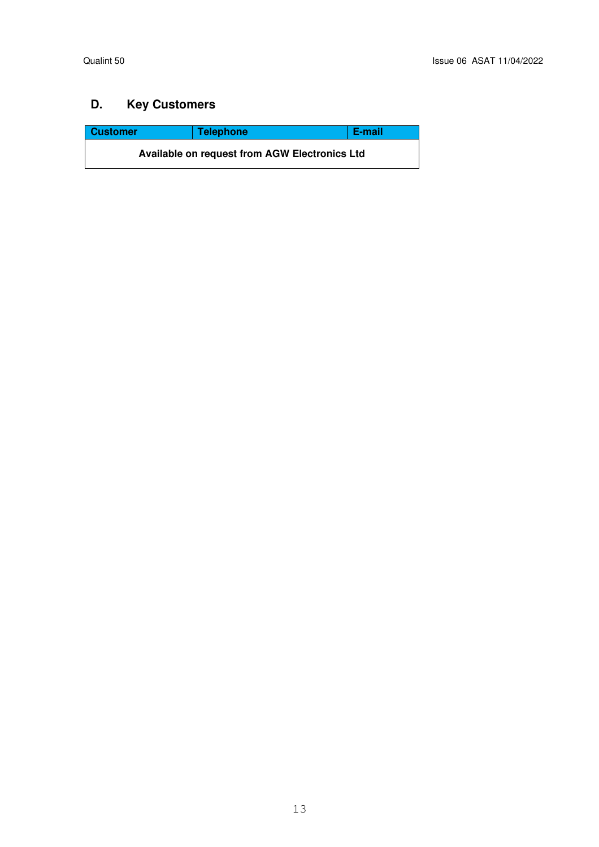### **D. Key Customers**

| <b>Customer</b>                                      | <b>Telephone</b> | E-mail |  |
|------------------------------------------------------|------------------|--------|--|
| <b>Available on request from AGW Electronics Ltd</b> |                  |        |  |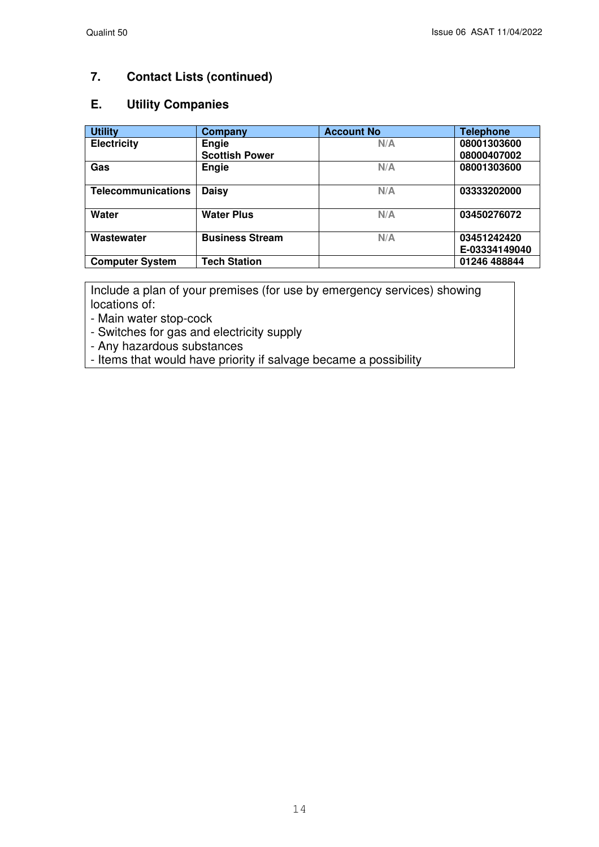### **7. Contact Lists (continued)**

#### **E. Utility Companies**

| <b>Utility</b>            | Company                | <b>Account No</b> | <b>Telephone</b>             |
|---------------------------|------------------------|-------------------|------------------------------|
| <b>Electricity</b>        | Engie                  | N/A               | 08001303600                  |
|                           | <b>Scottish Power</b>  |                   | 08000407002                  |
| Gas                       | Engie                  | N/A               | 08001303600                  |
| <b>Telecommunications</b> | <b>Daisy</b>           | N/A               | 03333202000                  |
| Water                     | <b>Water Plus</b>      | N/A               | 03450276072                  |
| Wastewater                | <b>Business Stream</b> | N/A               | 03451242420<br>E-03334149040 |
| <b>Computer System</b>    | <b>Tech Station</b>    |                   | 01246 488844                 |

Include a plan of your premises (for use by emergency services) showing locations of:

- Main water stop-cock

- Switches for gas and electricity supply

- Any hazardous substances

- Items that would have priority if salvage became a possibility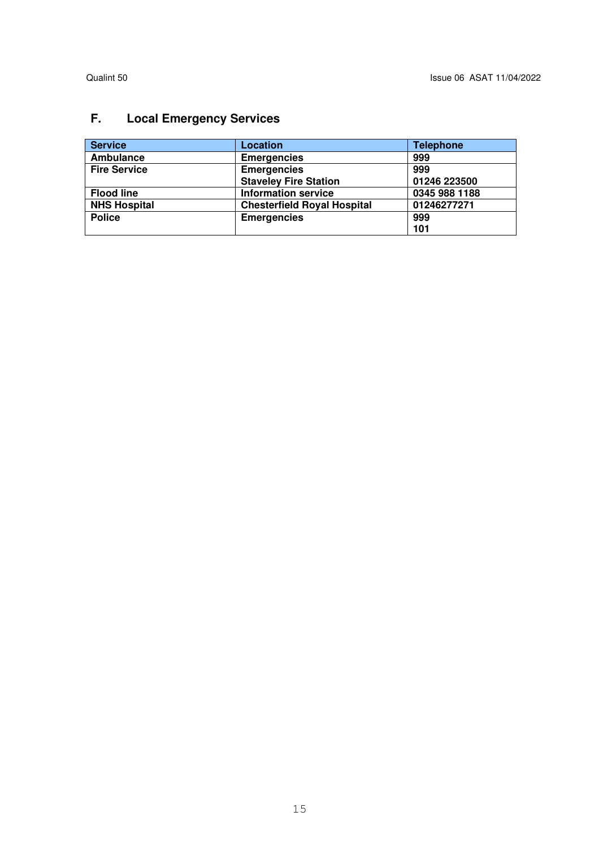# **F. Local Emergency Services**

| <b>Service</b>      | Location                           | <b>Telephone</b> |
|---------------------|------------------------------------|------------------|
| <b>Ambulance</b>    | <b>Emergencies</b>                 | 999              |
| <b>Fire Service</b> | <b>Emergencies</b>                 | 999              |
|                     | <b>Staveley Fire Station</b>       | 01246 223500     |
| <b>Flood line</b>   | <b>Information service</b>         | 0345 988 1188    |
| <b>NHS Hospital</b> | <b>Chesterfield Royal Hospital</b> | 01246277271      |
| <b>Police</b>       | <b>Emergencies</b>                 | 999              |
|                     |                                    | 101              |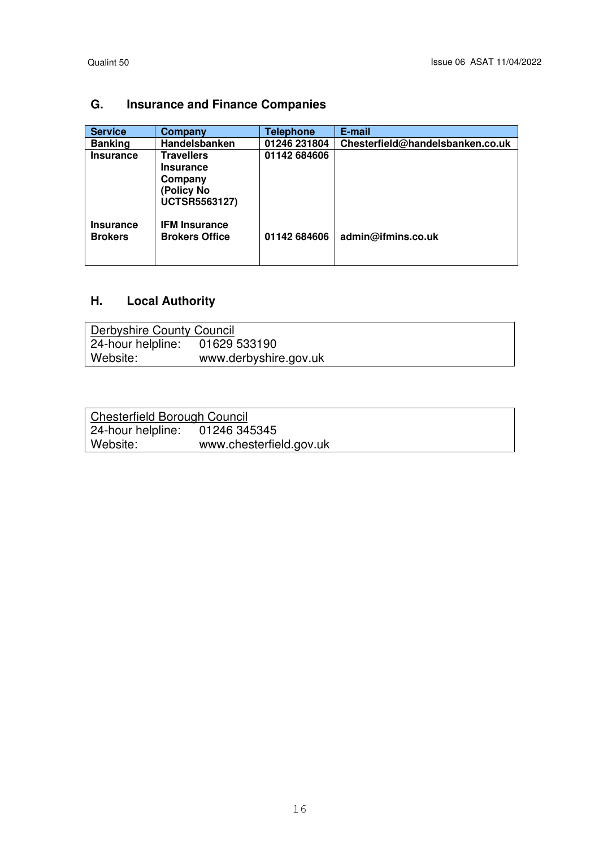# **G. Insurance and Finance Companies**

| <b>Service</b>                     | Company                                                                                | <b>Telephone</b> | E-mail                           |
|------------------------------------|----------------------------------------------------------------------------------------|------------------|----------------------------------|
| <b>Banking</b>                     | Handelsbanken                                                                          | 01246 231804     | Chesterfield@handelsbanken.co.uk |
| <b>Insurance</b>                   | <b>Travellers</b><br><b>Insurance</b><br>Company<br>(Policy No<br><b>UCTSR5563127)</b> | 01142 684606     |                                  |
| <b>Insurance</b><br><b>Brokers</b> | <b>IFM Insurance</b><br><b>Brokers Office</b>                                          | 01142 684606     | admin@ifmins.co.uk               |

### **H. Local Authority**

| Derbyshire County Council |                       |
|---------------------------|-----------------------|
| 24-hour helpline:         | 01629 533190          |
| Website:                  | www.derbyshire.gov.uk |

| <b>Chesterfield Borough Council</b> |                         |
|-------------------------------------|-------------------------|
| 24-hour helpline: 01246 345345      |                         |
| Website:                            | www.chesterfield.gov.uk |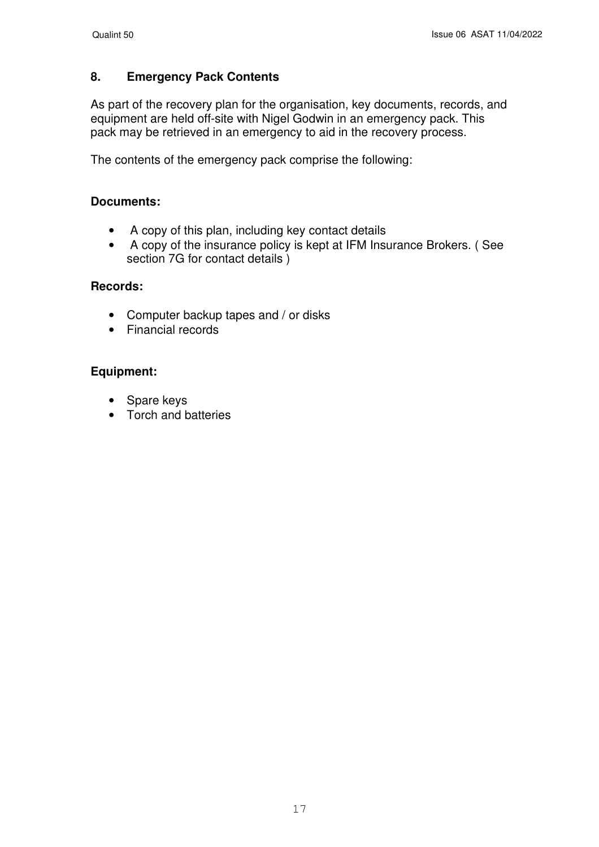### **8. Emergency Pack Contents**

As part of the recovery plan for the organisation, key documents, records, and equipment are held off-site with Nigel Godwin in an emergency pack. This pack may be retrieved in an emergency to aid in the recovery process.

The contents of the emergency pack comprise the following:

### **Documents:**

- A copy of this plan, including key contact details
- A copy of the insurance policy is kept at IFM Insurance Brokers. ( See section 7G for contact details )

#### **Records:**

- Computer backup tapes and / or disks
- Financial records

### **Equipment:**

- Spare keys
- Torch and batteries